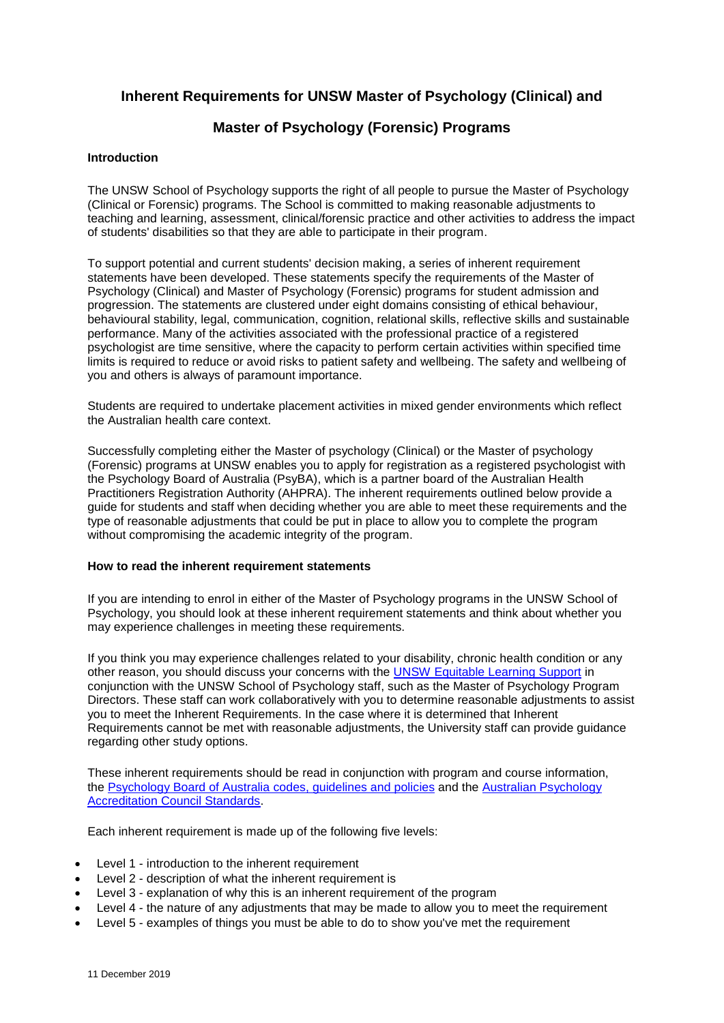### **Inherent Requirements for UNSW Master of Psychology (Clinical) and**

### **Master of Psychology (Forensic) Programs**

#### **Introduction**

The UNSW School of Psychology supports the right of all people to pursue the Master of Psychology (Clinical or Forensic) programs. The School is committed to making reasonable adjustments to teaching and learning, assessment, clinical/forensic practice and other activities to address the impact of students' disabilities so that they are able to participate in their program.

To support potential and current students' decision making, a series of inherent requirement statements have been developed. These statements specify the requirements of the Master of Psychology (Clinical) and Master of Psychology (Forensic) programs for student admission and progression. The statements are clustered under eight domains consisting of ethical behaviour, behavioural stability, legal, communication, cognition, relational skills, reflective skills and sustainable performance. Many of the activities associated with the professional practice of a registered psychologist are time sensitive, where the capacity to perform certain activities within specified time limits is required to reduce or avoid risks to patient safety and wellbeing. The safety and wellbeing of you and others is always of paramount importance.

Students are required to undertake placement activities in mixed gender environments which reflect the Australian health care context.

Successfully completing either the Master of psychology (Clinical) or the Master of psychology (Forensic) programs at UNSW enables you to apply for registration as a registered psychologist with the Psychology Board of Australia (PsyBA), which is a partner board of the Australian Health Practitioners Registration Authority (AHPRA). The inherent requirements outlined below provide a guide for students and staff when deciding whether you are able to meet these requirements and the type of reasonable adjustments that could be put in place to allow you to complete the program without compromising the academic integrity of the program.

#### **How to read the inherent requirement statements**

If you are intending to enrol in either of the Master of Psychology programs in the UNSW School of Psychology, you should look at these inherent requirement statements and think about whether you may experience challenges in meeting these requirements.

If you think you may experience challenges related to your disability, chronic health condition or any other reason, you should discuss your concerns with the [UNSW Equitable Learning Support](https://student.unsw.edu.au/disability-registration) in conjunction with the UNSW School of Psychology staff, such as the Master of Psychology Program Directors. These staff can work collaboratively with you to determine reasonable adjustments to assist you to meet the Inherent Requirements. In the case where it is determined that Inherent Requirements cannot be met with reasonable adjustments, the University staff can provide guidance regarding other study options.

These inherent requirements should be read in conjunction with program and course information, the [Psychology Board of Australia codes, guidelines and policies](https://www.psychologyboard.gov.au/standards-and-guidelines/codes-guidelines-policies.aspx) and the [Australian Psychology](https://www.psychologycouncil.org.au/standards_2010)  [Accreditation Council Standards.](https://www.psychologycouncil.org.au/standards_2010)

Each inherent requirement is made up of the following five levels:

- Level 1 introduction to the inherent requirement
- Level 2 description of what the inherent requirement is
- Level 3 explanation of why this is an inherent requirement of the program
- Level 4 the nature of any adjustments that may be made to allow you to meet the requirement
- Level 5 examples of things you must be able to do to show you've met the requirement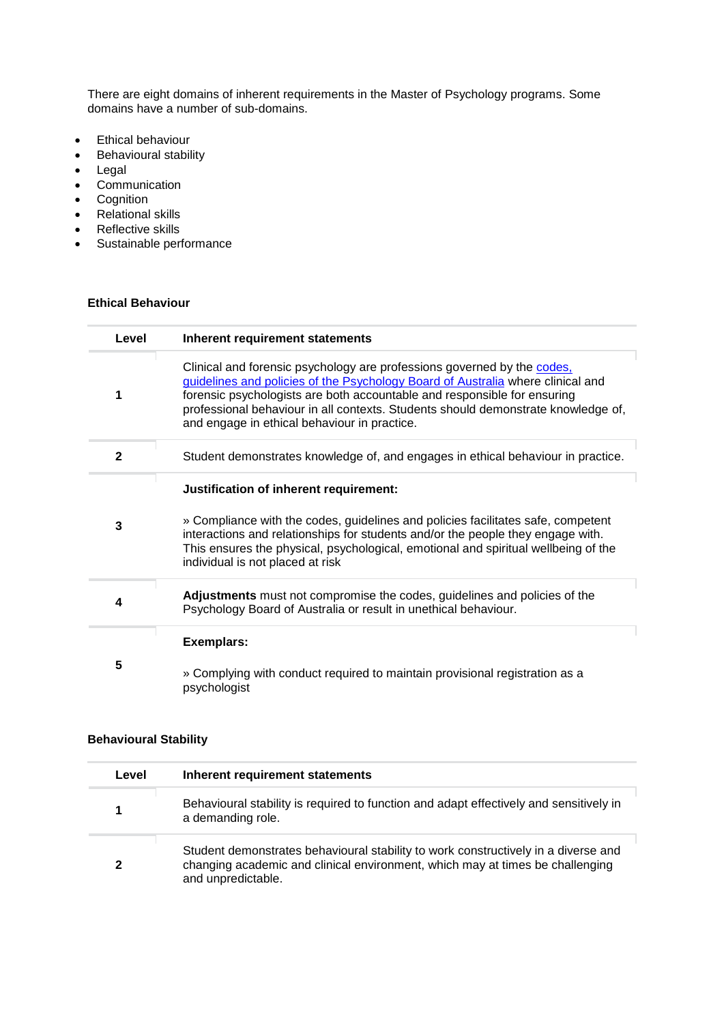There are eight domains of inherent requirements in the Master of Psychology programs. Some domains have a number of sub-domains.

- **•** Ethical behaviour
- Behavioural stability
- Legal
- Communication
- Cognition
- Relational skills
- Reflective skills
- Sustainable performance

## **Ethical Behaviour**

| Level | Inherent requirement statements                                                                                                                                                                                                                                                                                                                                             |
|-------|-----------------------------------------------------------------------------------------------------------------------------------------------------------------------------------------------------------------------------------------------------------------------------------------------------------------------------------------------------------------------------|
|       | Clinical and forensic psychology are professions governed by the codes,<br>guidelines and policies of the Psychology Board of Australia where clinical and<br>forensic psychologists are both accountable and responsible for ensuring<br>professional behaviour in all contexts. Students should demonstrate knowledge of,<br>and engage in ethical behaviour in practice. |
| 2     | Student demonstrates knowledge of, and engages in ethical behaviour in practice.                                                                                                                                                                                                                                                                                            |
| 3     | Justification of inherent requirement:<br>» Compliance with the codes, guidelines and policies facilitates safe, competent<br>interactions and relationships for students and/or the people they engage with.<br>This ensures the physical, psychological, emotional and spiritual wellbeing of the<br>individual is not placed at risk                                     |
| 4     | Adjustments must not compromise the codes, guidelines and policies of the<br>Psychology Board of Australia or result in unethical behaviour.                                                                                                                                                                                                                                |
| 5     | <b>Exemplars:</b><br>» Complying with conduct required to maintain provisional registration as a<br>psychologist                                                                                                                                                                                                                                                            |

#### **Behavioural Stability**

| Level | Inherent requirement statements                                                                                                                                                           |
|-------|-------------------------------------------------------------------------------------------------------------------------------------------------------------------------------------------|
|       | Behavioural stability is required to function and adapt effectively and sensitively in<br>a demanding role.                                                                               |
| 2     | Student demonstrates behavioural stability to work constructively in a diverse and<br>changing academic and clinical environment, which may at times be challenging<br>and unpredictable. |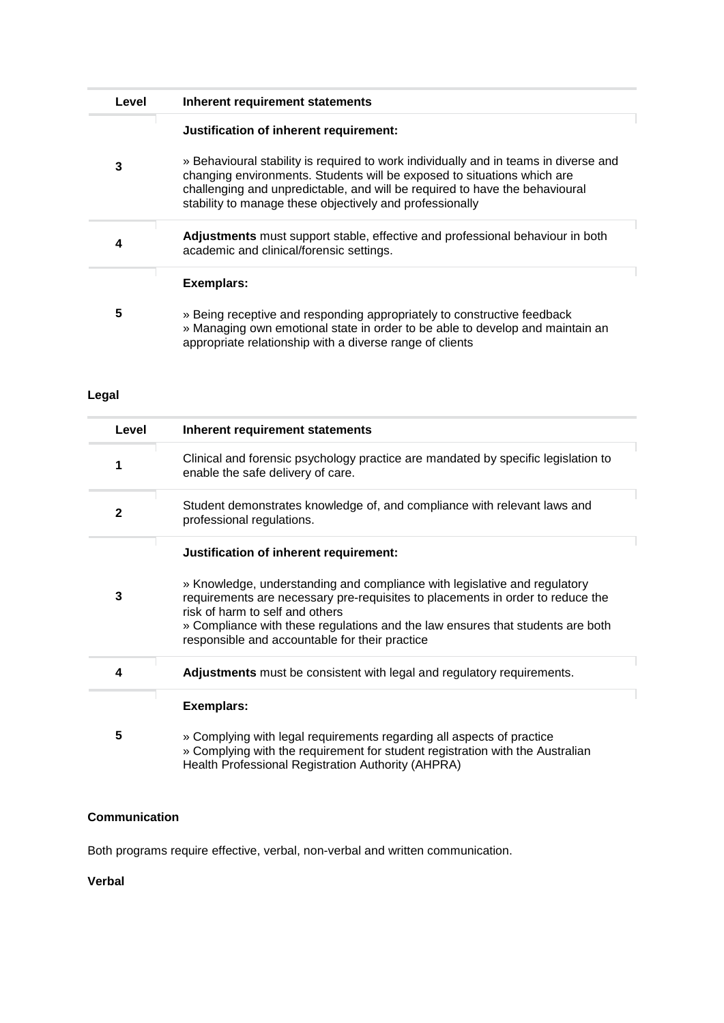| Level | Inherent requirement statements                                                                                                                                                                                                                                                                                                                      |
|-------|------------------------------------------------------------------------------------------------------------------------------------------------------------------------------------------------------------------------------------------------------------------------------------------------------------------------------------------------------|
| 3     | Justification of inherent requirement:<br>» Behavioural stability is required to work individually and in teams in diverse and<br>changing environments. Students will be exposed to situations which are<br>challenging and unpredictable, and will be required to have the behavioural<br>stability to manage these objectively and professionally |
| 4     | Adjustments must support stable, effective and professional behaviour in both<br>academic and clinical/forensic settings.                                                                                                                                                                                                                            |
| 5     | <b>Exemplars:</b><br>» Being receptive and responding appropriately to constructive feedback<br>» Managing own emotional state in order to be able to develop and maintain an<br>appropriate relationship with a diverse range of clients                                                                                                            |

## **Legal**

| Level        | Inherent requirement statements                                                                                                                                                                                                                                                                                                                                              |
|--------------|------------------------------------------------------------------------------------------------------------------------------------------------------------------------------------------------------------------------------------------------------------------------------------------------------------------------------------------------------------------------------|
| 1            | Clinical and forensic psychology practice are mandated by specific legislation to<br>enable the safe delivery of care.                                                                                                                                                                                                                                                       |
| $\mathbf{2}$ | Student demonstrates knowledge of, and compliance with relevant laws and<br>professional regulations.                                                                                                                                                                                                                                                                        |
| 3            | Justification of inherent requirement:<br>» Knowledge, understanding and compliance with legislative and regulatory<br>requirements are necessary pre-requisites to placements in order to reduce the<br>risk of harm to self and others<br>» Compliance with these regulations and the law ensures that students are both<br>responsible and accountable for their practice |
| 4            | <b>Adjustments</b> must be consistent with legal and regulatory requirements.                                                                                                                                                                                                                                                                                                |
|              | <b>Exemplars:</b>                                                                                                                                                                                                                                                                                                                                                            |
| 5            | » Complying with legal requirements regarding all aspects of practice<br>» Complying with the requirement for student registration with the Australian<br>Health Professional Registration Authority (AHPRA)                                                                                                                                                                 |

### **Communication**

Both programs require effective, verbal, non-verbal and written communication.

**Verbal**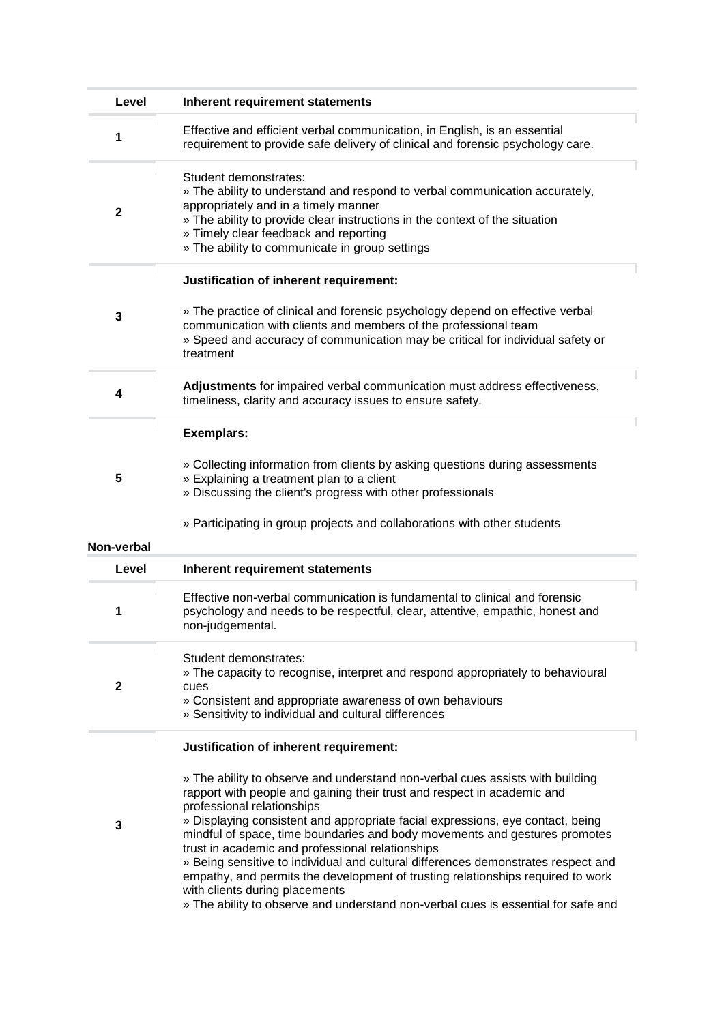| Level        | Inherent requirement statements                                                                                                                                                                                                                                                                                                                                                                                                                                                                                                                                                                                                                                                                           |
|--------------|-----------------------------------------------------------------------------------------------------------------------------------------------------------------------------------------------------------------------------------------------------------------------------------------------------------------------------------------------------------------------------------------------------------------------------------------------------------------------------------------------------------------------------------------------------------------------------------------------------------------------------------------------------------------------------------------------------------|
| 1            | Effective and efficient verbal communication, in English, is an essential<br>requirement to provide safe delivery of clinical and forensic psychology care.                                                                                                                                                                                                                                                                                                                                                                                                                                                                                                                                               |
| $\mathbf{2}$ | Student demonstrates:<br>» The ability to understand and respond to verbal communication accurately,<br>appropriately and in a timely manner<br>» The ability to provide clear instructions in the context of the situation<br>» Timely clear feedback and reporting<br>» The ability to communicate in group settings                                                                                                                                                                                                                                                                                                                                                                                    |
|              | Justification of inherent requirement:                                                                                                                                                                                                                                                                                                                                                                                                                                                                                                                                                                                                                                                                    |
| 3            | » The practice of clinical and forensic psychology depend on effective verbal<br>communication with clients and members of the professional team<br>» Speed and accuracy of communication may be critical for individual safety or<br>treatment                                                                                                                                                                                                                                                                                                                                                                                                                                                           |
| 4            | Adjustments for impaired verbal communication must address effectiveness,<br>timeliness, clarity and accuracy issues to ensure safety.                                                                                                                                                                                                                                                                                                                                                                                                                                                                                                                                                                    |
|              | <b>Exemplars:</b>                                                                                                                                                                                                                                                                                                                                                                                                                                                                                                                                                                                                                                                                                         |
| 5            | » Collecting information from clients by asking questions during assessments<br>» Explaining a treatment plan to a client<br>» Discussing the client's progress with other professionals                                                                                                                                                                                                                                                                                                                                                                                                                                                                                                                  |
|              | » Participating in group projects and collaborations with other students                                                                                                                                                                                                                                                                                                                                                                                                                                                                                                                                                                                                                                  |
| Non-verbal   |                                                                                                                                                                                                                                                                                                                                                                                                                                                                                                                                                                                                                                                                                                           |
| Level        | <b>Inherent requirement statements</b>                                                                                                                                                                                                                                                                                                                                                                                                                                                                                                                                                                                                                                                                    |
| 1            | Effective non-verbal communication is fundamental to clinical and forensic<br>psychology and needs to be respectful, clear, attentive, empathic, honest and<br>non-judgemental.                                                                                                                                                                                                                                                                                                                                                                                                                                                                                                                           |
| $\mathbf{2}$ | Student demonstrates:<br>» The capacity to recognise, interpret and respond appropriately to behavioural<br>cues<br>» Consistent and appropriate awareness of own behaviours<br>» Sensitivity to individual and cultural differences                                                                                                                                                                                                                                                                                                                                                                                                                                                                      |
|              | Justification of inherent requirement:                                                                                                                                                                                                                                                                                                                                                                                                                                                                                                                                                                                                                                                                    |
| 3            | » The ability to observe and understand non-verbal cues assists with building<br>rapport with people and gaining their trust and respect in academic and<br>professional relationships<br>» Displaying consistent and appropriate facial expressions, eye contact, being<br>mindful of space, time boundaries and body movements and gestures promotes<br>trust in academic and professional relationships<br>» Being sensitive to individual and cultural differences demonstrates respect and<br>empathy, and permits the development of trusting relationships required to work<br>with clients during placements<br>» The ability to observe and understand non-verbal cues is essential for safe and |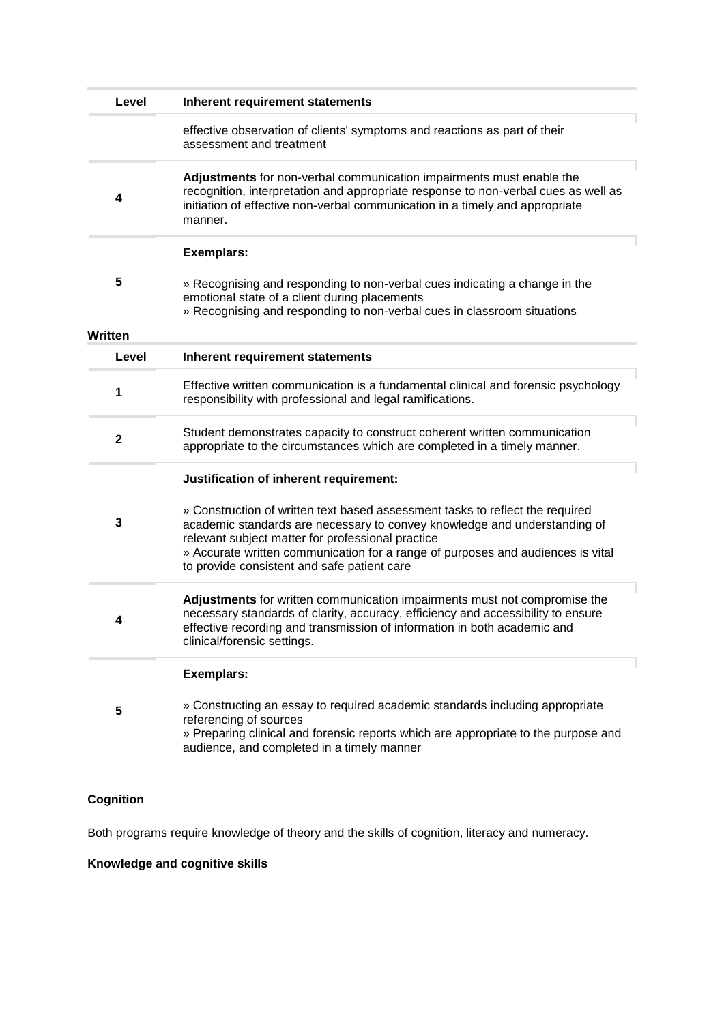| Level        | Inherent requirement statements                                                                                                                                                                                                                                                                                                                   |
|--------------|---------------------------------------------------------------------------------------------------------------------------------------------------------------------------------------------------------------------------------------------------------------------------------------------------------------------------------------------------|
|              | effective observation of clients' symptoms and reactions as part of their<br>assessment and treatment                                                                                                                                                                                                                                             |
| 4            | Adjustments for non-verbal communication impairments must enable the<br>recognition, interpretation and appropriate response to non-verbal cues as well as<br>initiation of effective non-verbal communication in a timely and appropriate<br>manner.                                                                                             |
|              | <b>Exemplars:</b>                                                                                                                                                                                                                                                                                                                                 |
| 5            | » Recognising and responding to non-verbal cues indicating a change in the<br>emotional state of a client during placements<br>» Recognising and responding to non-verbal cues in classroom situations                                                                                                                                            |
| Written      |                                                                                                                                                                                                                                                                                                                                                   |
| Level        | Inherent requirement statements                                                                                                                                                                                                                                                                                                                   |
| 1            | Effective written communication is a fundamental clinical and forensic psychology<br>responsibility with professional and legal ramifications.                                                                                                                                                                                                    |
| $\mathbf{2}$ | Student demonstrates capacity to construct coherent written communication<br>appropriate to the circumstances which are completed in a timely manner.                                                                                                                                                                                             |
|              | Justification of inherent requirement:                                                                                                                                                                                                                                                                                                            |
| 3            | » Construction of written text based assessment tasks to reflect the required<br>academic standards are necessary to convey knowledge and understanding of<br>relevant subject matter for professional practice<br>» Accurate written communication for a range of purposes and audiences is vital<br>to provide consistent and safe patient care |
| 4            | Adjustments for written communication impairments must not compromise the<br>necessary standards of clarity, accuracy, efficiency and accessibility to ensure<br>effective recording and transmission of information in both academic and<br>clinical/forensic settings.                                                                          |
|              | <b>Exemplars:</b>                                                                                                                                                                                                                                                                                                                                 |
| 5            | » Constructing an essay to required academic standards including appropriate<br>referencing of sources<br>» Preparing clinical and forensic reports which are appropriate to the purpose and<br>audience, and completed in a timely manner                                                                                                        |

# **Cognition**

Both programs require knowledge of theory and the skills of cognition, literacy and numeracy.

# **Knowledge and cognitive skills**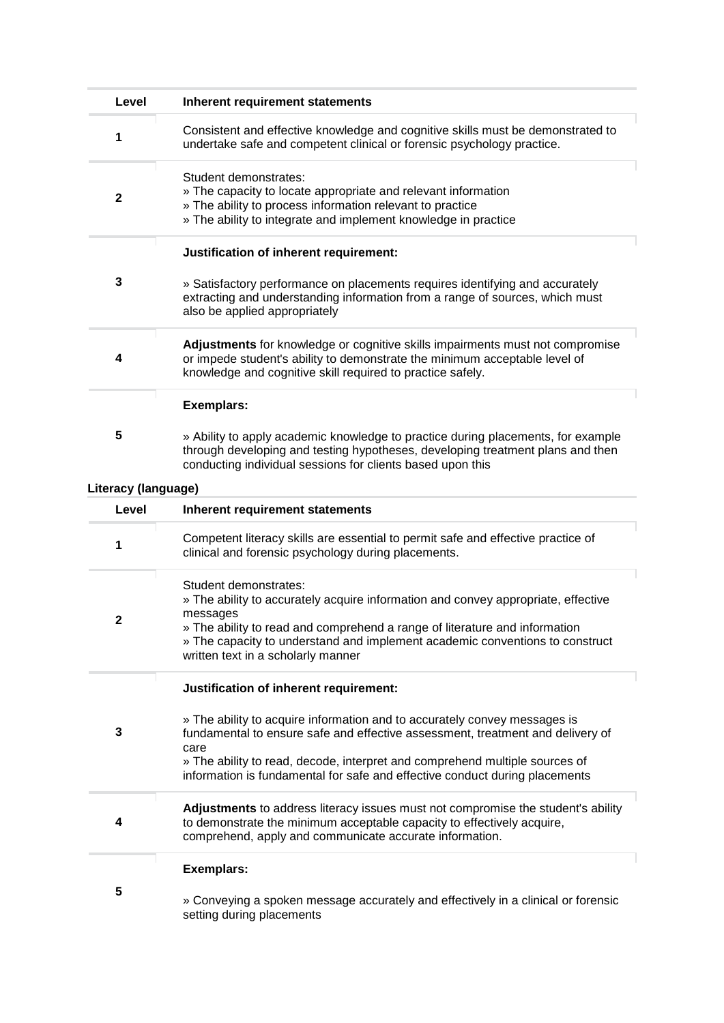| Level               | <b>Inherent requirement statements</b>                                                                                                                                                                                                                                                                                            |
|---------------------|-----------------------------------------------------------------------------------------------------------------------------------------------------------------------------------------------------------------------------------------------------------------------------------------------------------------------------------|
| 1                   | Consistent and effective knowledge and cognitive skills must be demonstrated to<br>undertake safe and competent clinical or forensic psychology practice.                                                                                                                                                                         |
| $\mathbf 2$         | Student demonstrates:<br>» The capacity to locate appropriate and relevant information<br>» The ability to process information relevant to practice<br>» The ability to integrate and implement knowledge in practice                                                                                                             |
| 3                   | Justification of inherent requirement:<br>» Satisfactory performance on placements requires identifying and accurately<br>extracting and understanding information from a range of sources, which must<br>also be applied appropriately                                                                                           |
| 4                   | Adjustments for knowledge or cognitive skills impairments must not compromise<br>or impede student's ability to demonstrate the minimum acceptable level of<br>knowledge and cognitive skill required to practice safely.                                                                                                         |
| 5                   | <b>Exemplars:</b><br>» Ability to apply academic knowledge to practice during placements, for example<br>through developing and testing hypotheses, developing treatment plans and then<br>conducting individual sessions for clients based upon this                                                                             |
| Literacy (language) |                                                                                                                                                                                                                                                                                                                                   |
| Level               | Inherent requirement statements                                                                                                                                                                                                                                                                                                   |
| 1                   | Competent literacy skills are essential to permit safe and effective practice of<br>clinical and forensic psychology during placements.                                                                                                                                                                                           |
| 2                   | Student demonstrates:<br>» The ability to accurately acquire information and convey appropriate, effective<br>messages<br>» The ability to read and comprehend a range of literature and information<br>» The capacity to understand and implement academic conventions to construct<br>written text in a scholarly manner        |
|                     | Justification of inherent requirement:                                                                                                                                                                                                                                                                                            |
| 3                   | » The ability to acquire information and to accurately convey messages is<br>fundamental to ensure safe and effective assessment, treatment and delivery of<br>care<br>» The ability to read, decode, interpret and comprehend multiple sources of<br>information is fundamental for safe and effective conduct during placements |
| 4                   | Adjustments to address literacy issues must not compromise the student's ability<br>to demonstrate the minimum acceptable capacity to effectively acquire,<br>comprehend, apply and communicate accurate information.                                                                                                             |
| 5                   | <b>Exemplars:</b><br>» Conveying a spoken message accurately and effectively in a clinical or forensic<br>setting during placements                                                                                                                                                                                               |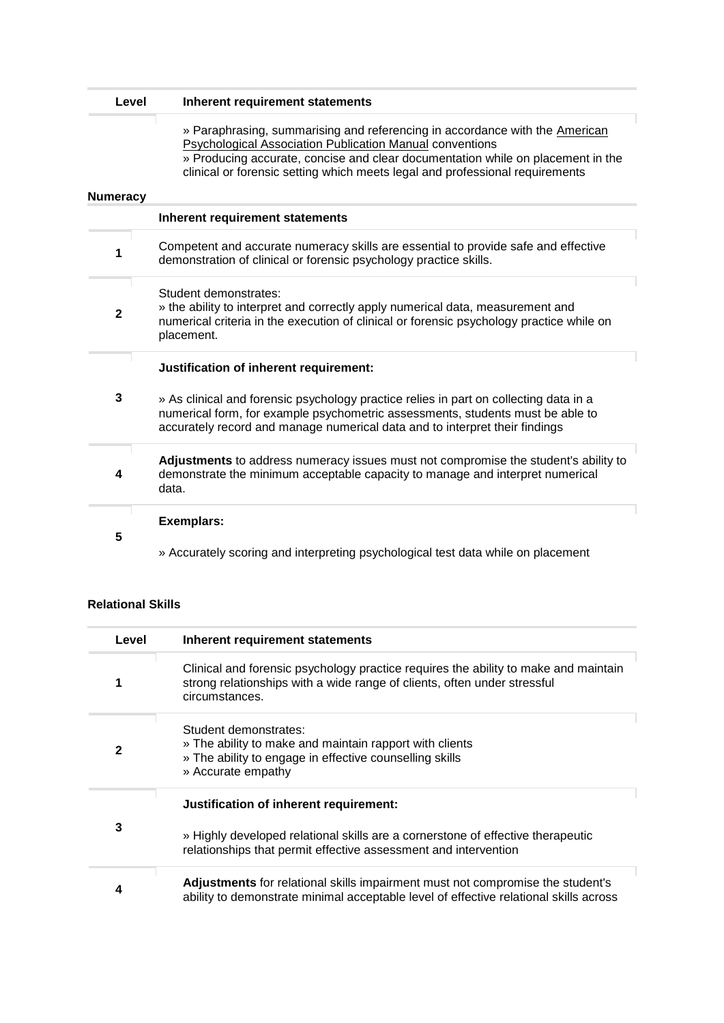| Level           | <b>Inherent requirement statements</b>                                                                                                                                                                                                                                                                            |
|-----------------|-------------------------------------------------------------------------------------------------------------------------------------------------------------------------------------------------------------------------------------------------------------------------------------------------------------------|
| <b>Numeracy</b> | » Paraphrasing, summarising and referencing in accordance with the American<br><b>Psychological Association Publication Manual conventions</b><br>» Producing accurate, concise and clear documentation while on placement in the<br>clinical or forensic setting which meets legal and professional requirements |
|                 | Inherent requirement statements                                                                                                                                                                                                                                                                                   |
| 1               | Competent and accurate numeracy skills are essential to provide safe and effective<br>demonstration of clinical or forensic psychology practice skills.                                                                                                                                                           |
| $\mathbf 2$     | Student demonstrates:<br>» the ability to interpret and correctly apply numerical data, measurement and<br>numerical criteria in the execution of clinical or forensic psychology practice while on<br>placement.                                                                                                 |
|                 | Justification of inherent requirement:                                                                                                                                                                                                                                                                            |
| 3               | » As clinical and forensic psychology practice relies in part on collecting data in a<br>numerical form, for example psychometric assessments, students must be able to<br>accurately record and manage numerical data and to interpret their findings                                                            |
| 4               | Adjustments to address numeracy issues must not compromise the student's ability to<br>demonstrate the minimum acceptable capacity to manage and interpret numerical<br>data.                                                                                                                                     |
|                 | <b>Exemplars:</b>                                                                                                                                                                                                                                                                                                 |
| 5               | » Accurately scoring and interpreting psychological test data while on placement                                                                                                                                                                                                                                  |

#### **Relational Skills**

| Level | Inherent requirement statements                                                                                                                                                              |
|-------|----------------------------------------------------------------------------------------------------------------------------------------------------------------------------------------------|
|       | Clinical and forensic psychology practice requires the ability to make and maintain<br>strong relationships with a wide range of clients, often under stressful<br>circumstances.            |
| 2     | Student demonstrates:<br>» The ability to make and maintain rapport with clients<br>» The ability to engage in effective counselling skills<br>» Accurate empathy                            |
| 3     | Justification of inherent requirement:<br>» Highly developed relational skills are a cornerstone of effective therapeutic<br>relationships that permit effective assessment and intervention |
| 4     | <b>Adjustments</b> for relational skills impairment must not compromise the student's<br>ability to demonstrate minimal acceptable level of effective relational skills across               |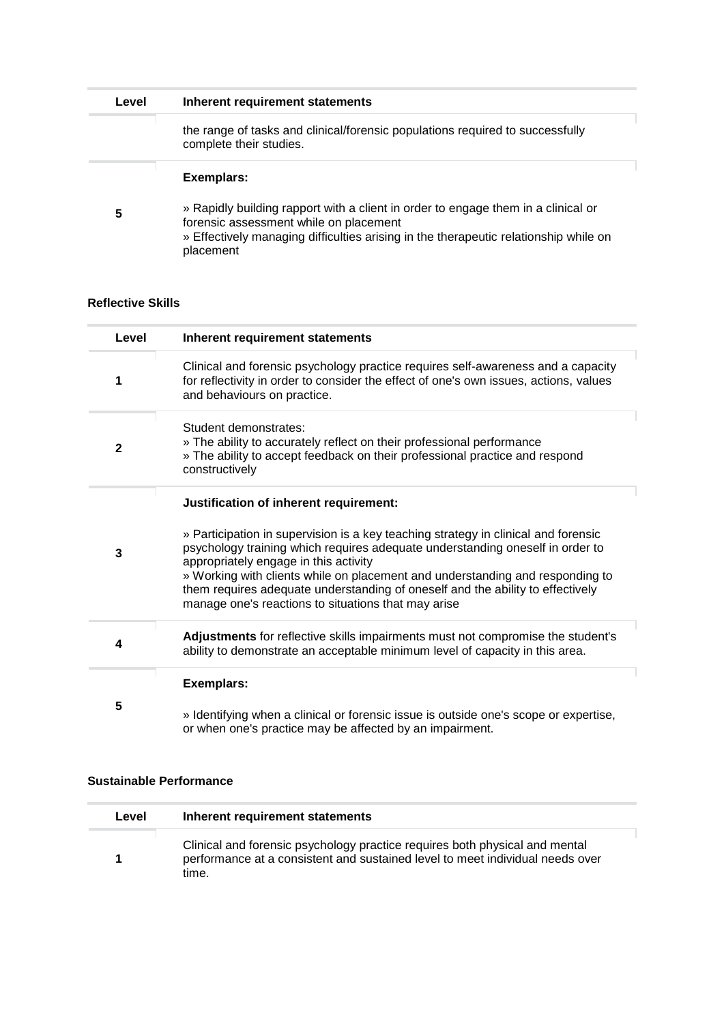| Level | Inherent requirement statements                                                                                                                                                                                                  |
|-------|----------------------------------------------------------------------------------------------------------------------------------------------------------------------------------------------------------------------------------|
|       | the range of tasks and clinical/forensic populations required to successfully<br>complete their studies.                                                                                                                         |
|       | Exemplars:                                                                                                                                                                                                                       |
| 5     | » Rapidly building rapport with a client in order to engage them in a clinical or<br>forensic assessment while on placement<br>» Effectively managing difficulties arising in the therapeutic relationship while on<br>placement |

#### **Reflective Skills**

| Level        | Inherent requirement statements                                                                                                                                                                                                                                                                                                                                                                                                                                                  |
|--------------|----------------------------------------------------------------------------------------------------------------------------------------------------------------------------------------------------------------------------------------------------------------------------------------------------------------------------------------------------------------------------------------------------------------------------------------------------------------------------------|
| 1            | Clinical and forensic psychology practice requires self-awareness and a capacity<br>for reflectivity in order to consider the effect of one's own issues, actions, values<br>and behaviours on practice.                                                                                                                                                                                                                                                                         |
| $\mathbf{2}$ | Student demonstrates:<br>» The ability to accurately reflect on their professional performance<br>» The ability to accept feedback on their professional practice and respond<br>constructively                                                                                                                                                                                                                                                                                  |
| 3            | Justification of inherent requirement:<br>» Participation in supervision is a key teaching strategy in clinical and forensic<br>psychology training which requires adequate understanding oneself in order to<br>appropriately engage in this activity<br>» Working with clients while on placement and understanding and responding to<br>them requires adequate understanding of oneself and the ability to effectively<br>manage one's reactions to situations that may arise |
| 4            | Adjustments for reflective skills impairments must not compromise the student's<br>ability to demonstrate an acceptable minimum level of capacity in this area.                                                                                                                                                                                                                                                                                                                  |
| 5            | <b>Exemplars:</b><br>» Identifying when a clinical or forensic issue is outside one's scope or expertise,<br>or when one's practice may be affected by an impairment.                                                                                                                                                                                                                                                                                                            |

#### **Sustainable Performance**

| Level | Inherent requirement statements                                                                                                                                       |
|-------|-----------------------------------------------------------------------------------------------------------------------------------------------------------------------|
|       | Clinical and forensic psychology practice requires both physical and mental<br>performance at a consistent and sustained level to meet individual needs over<br>time. |